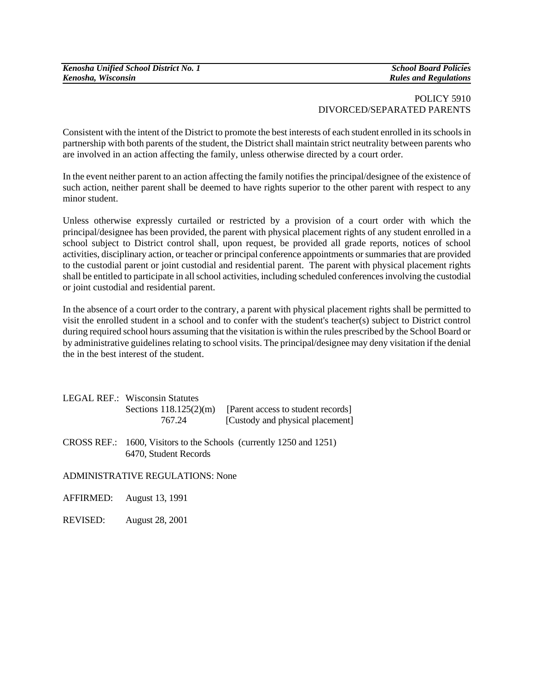| Kenosha Unified School District No. 1 |
|---------------------------------------|
| Kenosha, Wisconsin                    |

*Kenosha Unified School District No. 1 School Board Policies*   $Rules$  and Regulations

## POLICY 5910 DIVORCED/SEPARATED PARENTS

Consistent with the intent of the District to promote the best interests of each student enrolled in its schools in partnership with both parents of the student, the District shall maintain strict neutrality between parents who are involved in an action affecting the family, unless otherwise directed by a court order.

In the event neither parent to an action affecting the family notifies the principal/designee of the existence of such action, neither parent shall be deemed to have rights superior to the other parent with respect to any minor student.

Unless otherwise expressly curtailed or restricted by a provision of a court order with which the principal/designee has been provided, the parent with physical placement rights of any student enrolled in a school subject to District control shall, upon request, be provided all grade reports, notices of school activities, disciplinary action, or teacher or principal conference appointments or summaries that are provided to the custodial parent or joint custodial and residential parent. The parent with physical placement rights shall be entitled to participate in all school activities, including scheduled conferences involving the custodial or joint custodial and residential parent.

In the absence of a court order to the contrary, a parent with physical placement rights shall be permitted to visit the enrolled student in a school and to confer with the student's teacher(s) subject to District control during required school hours assuming that the visitation is within the rules prescribed by the School Board or by administrative guidelines relating to school visits. The principal/designee may deny visitation if the denial the in the best interest of the student.

| LEGAL REF.: Wisconsin Statutes |                                    |
|--------------------------------|------------------------------------|
| Sections $118.125(2)(m)$       | [Parent access to student records] |
| 767.24                         | [Custody and physical placement]   |

CROSS REF.: 1600, Visitors to the Schools (currently 1250 and 1251) 6470, Student Records

ADMINISTRATIVE REGULATIONS: None

AFFIRMED: August 13, 1991

REVISED: August 28, 2001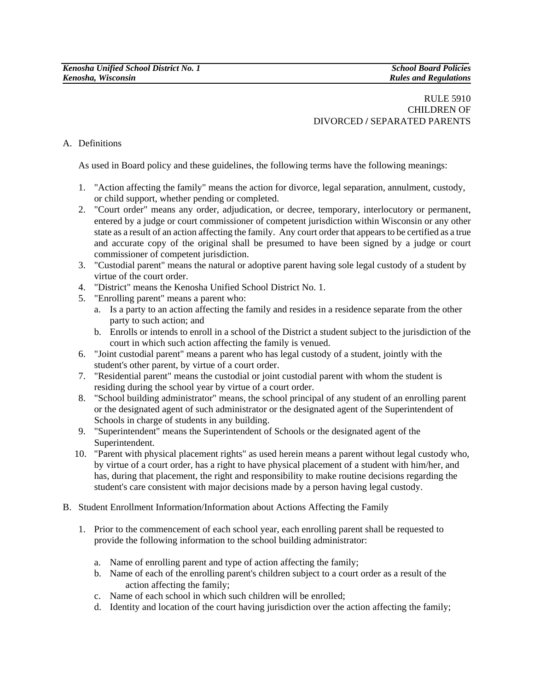## RULE 5910 CHILDREN OF DIVORCED **/** SEPARATED PARENTS

## A. Definitions

As used in Board policy and these guidelines, the following terms have the following meanings:

- 1. "Action affecting the family" means the action for divorce, legal separation, annulment, custody, or child support, whether pending or completed.
- 2. "Court order" means any order, adjudication, or decree, temporary, interlocutory or permanent, entered by a judge or court commissioner of competent jurisdiction within Wisconsin or any other state as a result of an action affecting the family. Any court order that appears to be certified as a true and accurate copy of the original shall be presumed to have been signed by a judge or court commissioner of competent jurisdiction.
- 3. "Custodial parent" means the natural or adoptive parent having sole legal custody of a student by virtue of the court order.
- 4. "District" means the Kenosha Unified School District No. 1.
- 5. "Enrolling parent" means a parent who:
	- a. Is a party to an action affecting the family and resides in a residence separate from the other party to such action; and
	- b. Enrolls or intends to enroll in a school of the District a student subject to the jurisdiction of the court in which such action affecting the family is venued.
- 6. "Joint custodial parent" means a parent who has legal custody of a student, jointly with the student's other parent, by virtue of a court order.
- 7. "Residential parent" means the custodial or joint custodial parent with whom the student is residing during the school year by virtue of a court order.
- 8. "School building administrator" means, the school principal of any student of an enrolling parent or the designated agent of such administrator or the designated agent of the Superintendent of Schools in charge of students in any building.
- 9. "Superintendent" means the Superintendent of Schools or the designated agent of the Superintendent.
- 10. "Parent with physical placement rights" as used herein means a parent without legal custody who, by virtue of a court order, has a right to have physical placement of a student with him/her, and has, during that placement, the right and responsibility to make routine decisions regarding the student's care consistent with major decisions made by a person having legal custody.
- B. Student Enrollment Information/Information about Actions Affecting the Family
	- 1. Prior to the commencement of each school year, each enrolling parent shall be requested to provide the following information to the school building administrator:
		- a. Name of enrolling parent and type of action affecting the family;
		- b. Name of each of the enrolling parent's children subject to a court order as a result of the action affecting the family;
		- c. Name of each school in which such children will be enrolled;
		- d. Identity and location of the court having jurisdiction over the action affecting the family;